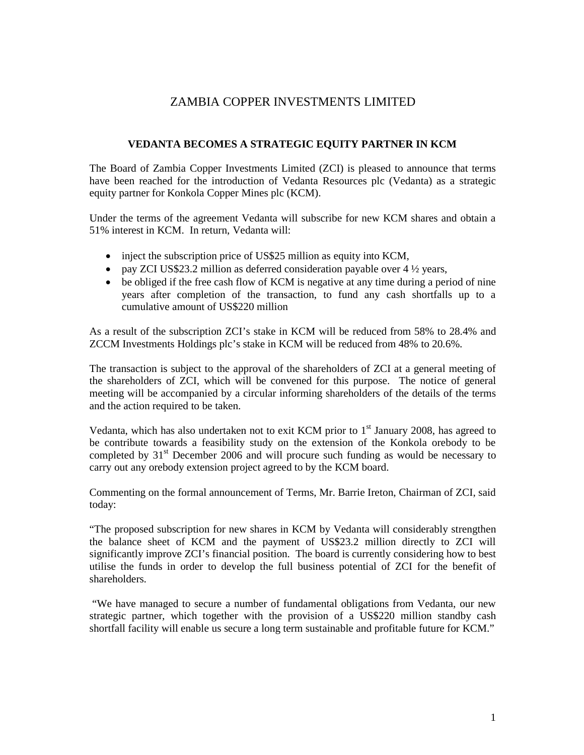## ZAMBIA COPPER INVESTMENTS LIMITED

## **VEDANTA BECOMES A STRATEGIC EQUITY PARTNER IN KCM**

The Board of Zambia Copper Investments Limited (ZCI) is pleased to announce that terms have been reached for the introduction of Vedanta Resources plc (Vedanta) as a strategic equity partner for Konkola Copper Mines plc (KCM).

Under the terms of the agreement Vedanta will subscribe for new KCM shares and obtain a 51% interest in KCM. In return, Vedanta will:

- inject the subscription price of US\$25 million as equity into KCM,
- pay ZCI US\$23.2 million as deferred consideration payable over  $4\frac{1}{2}$  years,
- be obliged if the free cash flow of KCM is negative at any time during a period of nine years after completion of the transaction, to fund any cash shortfalls up to a cumulative amount of US\$220 million

As a result of the subscription ZCI's stake in KCM will be reduced from 58% to 28.4% and ZCCM Investments Holdings plc's stake in KCM will be reduced from 48% to 20.6%.

The transaction is subject to the approval of the shareholders of ZCI at a general meeting of the shareholders of ZCI, which will be convened for this purpose. The notice of general meeting will be accompanied by a circular informing shareholders of the details of the terms and the action required to be taken.

Vedanta, which has also undertaken not to exit KCM prior to  $1<sup>st</sup>$  January 2008, has agreed to be contribute towards a feasibility study on the extension of the Konkola orebody to be completed by  $31<sup>st</sup>$  December 2006 and will procure such funding as would be necessary to carry out any orebody extension project agreed to by the KCM board.

Commenting on the formal announcement of Terms, Mr. Barrie Ireton, Chairman of ZCI, said today:

"The proposed subscription for new shares in KCM by Vedanta will considerably strengthen the balance sheet of KCM and the payment of US\$23.2 million directly to ZCI will significantly improve ZCI's financial position. The board is currently considering how to best utilise the funds in order to develop the full business potential of ZCI for the benefit of shareholders.

 "We have managed to secure a number of fundamental obligations from Vedanta, our new strategic partner, which together with the provision of a US\$220 million standby cash shortfall facility will enable us secure a long term sustainable and profitable future for KCM."